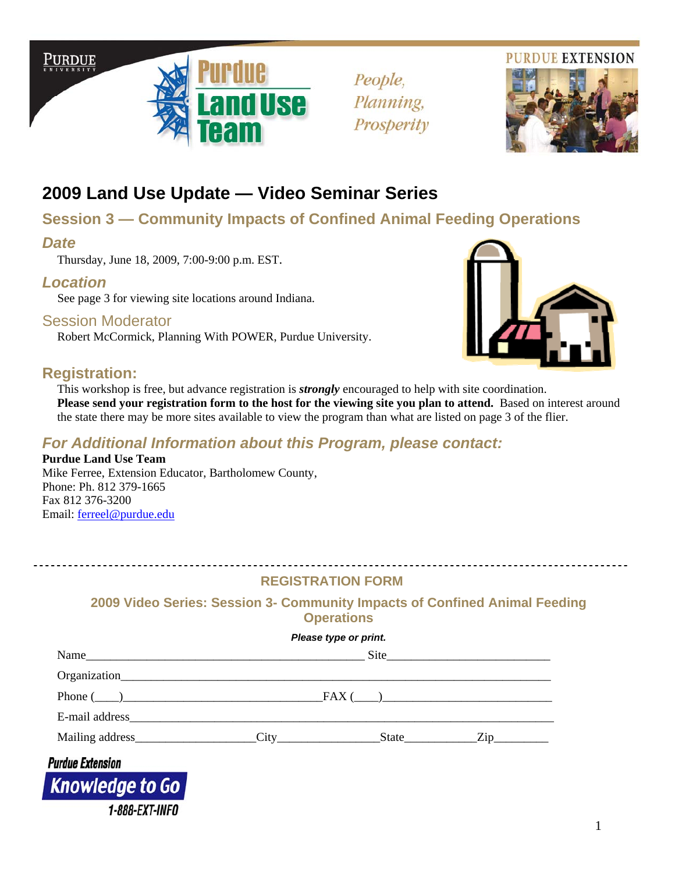



People, Planning, Prosperity



# **2009 Land Use Update — Video Seminar Series**

## **Session 3 — Community Impacts of Confined Animal Feeding Operations**

### *Date*

 $\ddot{\phantom{0}}$ 

Thursday, June 18, 2009, 7:00-9:00 p.m. EST.

## *Location*

See page 3 for viewing site locations around Indiana.

### Session Moderator

Robert McCormick, Planning With POWER, Purdue University.



This workshop is free, but advance registration is *strongly* encouraged to help with site coordination. Please send your registration form to the host for the viewing site you plan to attend. Based on interest around the state there may be more sites available to view the program than what are listed on page 3 of the flier.

## *For Additional Information about this Program, please contact:*

**Purdue Land Use Team** Mike Ferree, Extension Educator, Bartholomew County, Phone: Ph. 812 379-1665 Fax 812 376-3200 Email: ferreel@purdue.edu

**1-888-EXT-INFO** 

### **REGISTRATION FORM**

### **2009 Video Series: Session 3- Community Impacts of Confined Animal Feeding Operations**

|                         | Please type or print. |  |                                    |
|-------------------------|-----------------------|--|------------------------------------|
|                         |                       |  |                                    |
|                         |                       |  |                                    |
| Phone $(\_\)$ $\_\_$    |                       |  |                                    |
|                         |                       |  |                                    |
| Mailing address City    |                       |  | $State$ $\qquad \qquad \text{Zip}$ |
| <b>Purdue Extension</b> |                       |  |                                    |
| Knowledge to Go         |                       |  |                                    |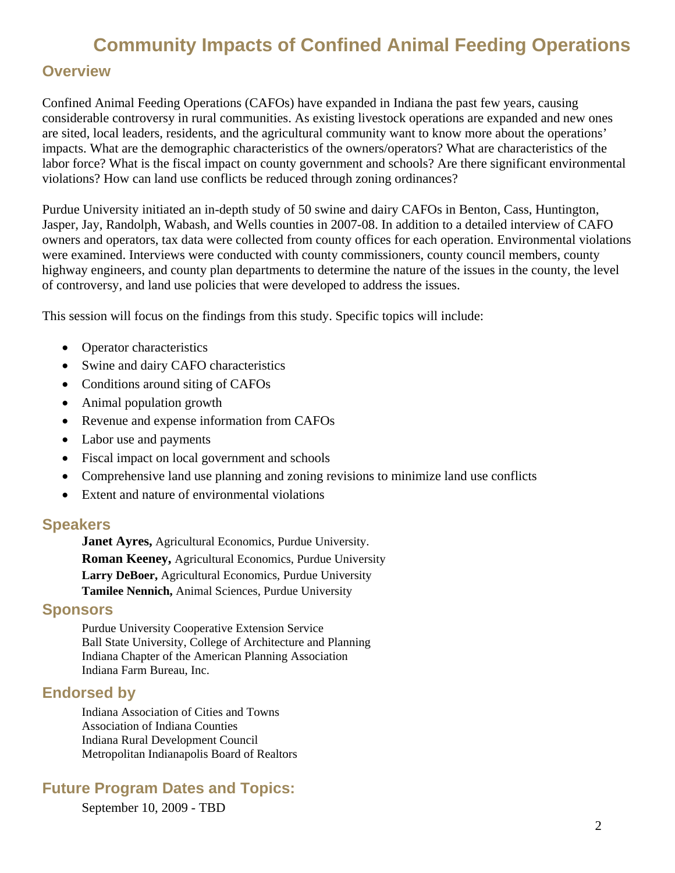# **Community Impacts of Confined Animal Feeding Operations**

## **Overview**

Confined Animal Feeding Operations (CAFOs) have expanded in Indiana the past few years, causing considerable controversy in rural communities. As existing livestock operations are expanded and new ones are sited, local leaders, residents, and the agricultural community want to know more about the operations' impacts. What are the demographic characteristics of the owners/operators? What are characteristics of the labor force? What is the fiscal impact on county government and schools? Are there significant environmental violations? How can land use conflicts be reduced through zoning ordinances?

Purdue University initiated an in-depth study of 50 swine and dairy CAFOs in Benton, Cass, Huntington, Jasper, Jay, Randolph, Wabash, and Wells counties in 2007-08. In addition to a detailed interview of CAFO owners and operators, tax data were collected from county offices for each operation. Environmental violations were examined. Interviews were conducted with county commissioners, county council members, county highway engineers, and county plan departments to determine the nature of the issues in the county, the level of controversy, and land use policies that were developed to address the issues.

This session will focus on the findings from this study. Specific topics will include:

- Operator characteristics
- Swine and dairy CAFO characteristics
- Conditions around siting of CAFOs
- Animal population growth
- Revenue and expense information from CAFOs
- Labor use and payments
- Fiscal impact on local government and schools
- Comprehensive land use planning and zoning revisions to minimize land use conflicts
- Extent and nature of environmental violations

#### **Speakers**

**Janet Ayres,** Agricultural Economics, Purdue University. **Roman Keeney,** Agricultural Economics, Purdue University **Larry DeBoer,** Agricultural Economics, Purdue University **Tamilee Nennich,** Animal Sciences, Purdue University

### **Sponsors**

Purdue University Cooperative Extension Service Ball State University, College of Architecture and Planning Indiana Chapter of the American Planning Association Indiana Farm Bureau, Inc.

### **Endorsed by**

Indiana Association of Cities and Towns Association of Indiana Counties Indiana Rural Development Council Metropolitan Indianapolis Board of Realtors

### **Future Program Dates and Topics:**

September 10, 2009 - TBD